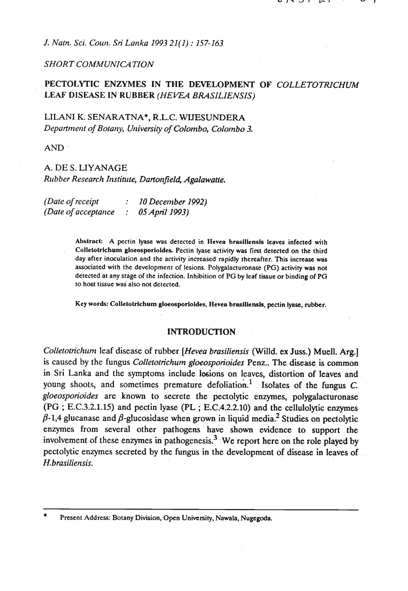*J. Natn. Sci. Coun. Sri Lanka 1993 21 (1)* : *157-163* 

### **SHORT COMMUNICATION**

## PECTOLYTIC ENZYMES IN THE DEVELOPMENT OF *COLLETOTRICHUM*  LEAF *DISEASE IN RUBBER (HEVEA BRASILIENSIS)*

### LILANI K. SENARATNA\*, R.L.C. **WIJESUNDERA**  *Department of Botany, University of Colombo, Colombo 3.*

**AND** 

# A. DE S. LIYANAGE *Rubber Research Institute, Dcrrfonjieli, Agalawatte.*

| (Date of receipt    | $\therefore$ 10 December 1992) |
|---------------------|--------------------------------|
| (Date of acceptance | $:$ 05 April 1993)             |

**Abstrsck** A pectin lyase **was** detected in **Ilevea brasiliensis** leaves infected with Colletotrichum gloeosporioides. Pectin lyase activity was first detected on the third day after inoculation and the activity increased rapidly thereafter. This increase was associated with the development of lesions. Polygalacturonase (PG) activity was not detected at any stage of the infection. Inhibition of PG by leaf tissue or binding of PG to host tissue was also not detected.

**Key words: Colletotrichurn gloeosporioides, Hevea braslliensls,** pectin **lyase, rubber.** 

#### **INTRODUCTION**

*Colletotrichum leaf disease of rubber <i>[Hevea brasiliensis* (Willd. ex Juss.) Muell. Arg.] is caused by the fungus *Colletotrichum gloeosporioides* Penz.. The disease is common in Sri Lanka and the symptoms include lesions on leaves, distortion of leaves and young shoots, and sometimes premature defoliation.' Isolates of the fungus C. *gloeosporioides* are known to secrete the pectolytic enzymes, polygalacturonase (PG ; E.C.3.2.1.15) and pectin lyase (PL ; E.C.4.2.2.10) and the cellulolytic enzymes  $\beta$ -1,4 glucanase and  $\beta$ -glucosidase when grown in liquid media.<sup>2</sup> Studies on pectolytic enzymes from several other pathogens have shown evidence to support the involvement of these enzymes in pathogenesis.<sup>3</sup> We report here on the role played by pectolytic enzymes secreted by the fungus in the development of disease in leaves of H. *brasiliensis.* 

Present Address: Botany Division, Open University, Nawala, Nugegoda.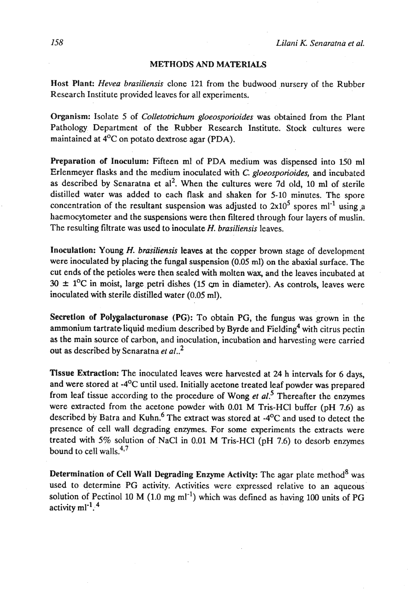#### METHODS AND MATERIALS

Host Plant: *Hevea brasiliensis* clone *121* from the budwood nursery of the Rubber Research Institute provided leaves for all experiments.

Organism: Isolate **5** of *Colletotichum gloeosporioides* was obtained from the Plant Pathology Department of the Rubber Research Institute. Stock cultures were maintained at 4<sup>o</sup>C on potato dextrose agar (PDA).

Preparation of Inoculum: Fifteen ml of PDA medium was dispensed into 150 ml Erlenmeyer flasks and the medium inoculated with C. *gloeosporioides,* and incubated as described by Senaratna et al<sup>2</sup>. When the cultures were 7d old, 10 ml of sterile distilled water was added to each flask and shaken for 5-10 minutes. The spore concentration of the resultant suspension was adjusted to  $2x10^5$  spores ml<sup>-1</sup> using a haemocytometer and the suspensions were then filtered through four layers of muslin. The resulting filtrate was used to inoculate H. *brariliensis* leaves.

Inoculation: Young H. *brariliensis* leaves at the copper brown stage of development were inoculated by placing the fungal suspension (0.05 ml) on the abaxial surface. The cut ends of the petioles were then sealed with molten **wax,** and the leaves incubated at  $30 \pm 1$ <sup>o</sup>C in moist, large petri dishes (15 cm in diameter). As controls, leaves were inoculated with sterile distilled water (0.05 ml).

Secretion of Polygalacturonase (PG): To obtain PG, the fungus was grown in the ammonium tartrate liquid medium described by Byrde and Fielding<sup>4</sup> with citrus pectin as the main source of carbon, and inoculation, incubation and harvesting were carried out as described by Senaratna *et* 

Tissue Extraction: The inoculated leaves were harvested at 24 h intervals for 6 days. and were stored at -4<sup>o</sup>C until used. Initially acetone treated leaf powder was prepared from leaf tissue according to the procedure of **Wong** *et al?* Thereafter the enzymes were extracted from the acetone powder with 0.01 M Tris-HCl buffer (pH 7.6) as described by Batra and Kuhn. $^{6}$  The extract was stored at -4 $^{0}$ C and used to detect the presence of cell wall degrading enzymes. For some experiments the extracts were treated with 5% solution of NaCl in 0.01 M Tris-HCI (pH 7.6) to desorb enzymes bound to cell walls. $4,7$ 

Determination of Cell Wall Degrading Enzyme Activity: The agar plate method $8$  was used to determine PG activity. Activities were expressed relative to an aqueous solution of Pectinol 10 M (1.0 mg ml<sup>-1</sup>) which was defined as having 100 units of PG activity  $ml^{-1}$ .<sup>4</sup>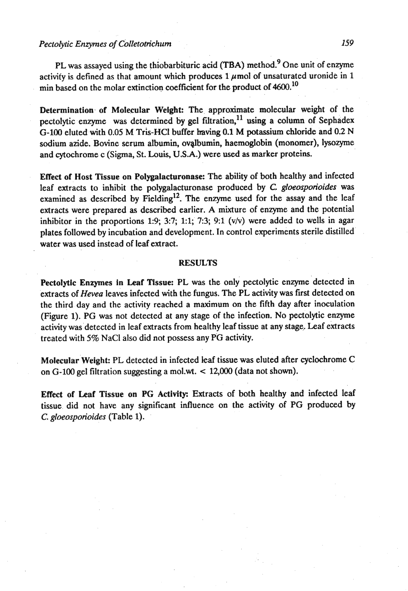### *Pectolytic Enzymes of Colletotichum 159*

**PL** was assayed using the thiobarbituric acid **(TBA)** method? One unit of enzyme activity is defined as that amount which produces  $1 \mu$  mol of unsaturated uronide in 1 min based on the molar extinction coefficient for the product of  $4600$ .<sup>10</sup>

Determination of Molecular Weight: The approximate molecular weight of the pectolytic enzyme was determined by gel filtration, $^{11}$  using a column of Sephadex **G-100** eluted with **0.05** M Tris-HC1 buffer **having** 0.1 M potassium chloride and 0.2 N sodium azide. Bovine serum albumin, ovalbumin, haemoglobin (monomer), lysozyme and cytochrome c (Sigma, St. Louis, **U.S.A.)** were used as marker proteins.

Effect of Host Tissue on Polygalacturonase: The ability of both healthy and infected leaf extracts to inhibit the polygalacturonase produced by *C. gloeosporioides* was examined as described by Fielding<sup>12</sup>. The enzyme used for the assay and the leaf extracts were prepared as described earlier. A mixture of enzyme and the potential inhibitor in the proportions 1:9; 3:7; 1:1; 7:3; 9:1 (v/v) were added to wells in agar plates followed by incubation and development. In control experiments sterile distilled water was used instead of leaf extract.

#### **RESULTS**

Pectolytic Enzymes in Leaf Tissue: PL was the only pectolytic enzyme detected in extracts of *Hevea* leaves infected with the fungus. The PL activity was first detected on the third day and the activity reached a maximum on the fifth day after inoculation (Figure 1). **PG** was not detected at any stage of the infection. No pectolytic enzyme activity was detected in leaf extracts from healthy leaf tissue at any stage. Leaf extracts treated with 5% NaCl also did not possess any PG activity.

**Molecular Weight: PL detected in infected leaf tissue was eluted after cyclochrome C** on  $G-100$  gel filtration suggesting a mol.wt.  $< 12,000$  (data not shown).

Effect of Leaf Tissue on PG Activity: Extracts of both healthy and infected leaf tissue, did not have any significant influence on the activity of PG produced by **C.** *gloeosporioides* (Table 1).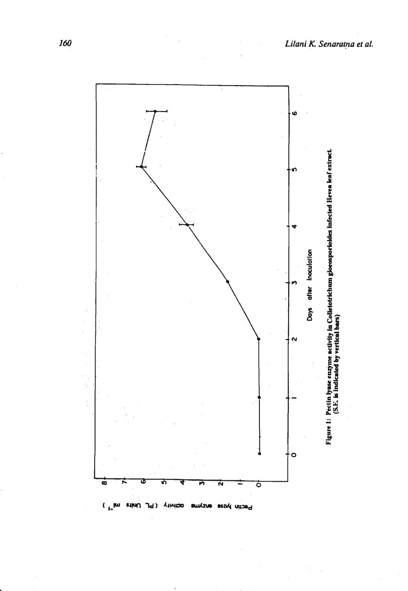

**CAN SHUT** Pechn hyase Viivitao 1d) amysne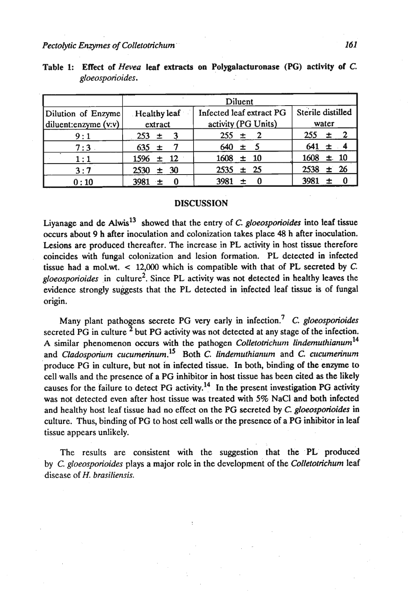#### *Pectolytic Enzymes of Colletotrichum*

|                                            | Diluent                 |                                                 |                            |  |  |  |  |
|--------------------------------------------|-------------------------|-------------------------------------------------|----------------------------|--|--|--|--|
| Dilution of Enzyme<br>diluent:enzyme (v:v) | Healthy leaf<br>extract | Infected leaf extract PG<br>activity (PG Units) | Sterile distilled<br>water |  |  |  |  |
| 9:1                                        | $253 \pm 3$             | $255 \pm 2$                                     | $\pm$ 2<br>255             |  |  |  |  |
| 7:3                                        | $635 \pm$               | $640 \pm 5$                                     | $641 \pm 4$                |  |  |  |  |
| 1:1                                        | $\pm$ 12<br>1596        | $1608 \pm 10$                                   | $1608 \pm 10$              |  |  |  |  |
| 3:7                                        | ± 30<br>2530            | $2535 \pm 25$                                   | $±$ 26<br>2538             |  |  |  |  |
| 0:10                                       | 3981                    | 3981<br>$\div$                                  | 3981<br>士                  |  |  |  |  |

| Table 1: Effect of <i>Hevea</i> leaf extracts on Polygalacturonase (PG) activity of C. |  |  |  |  |
|----------------------------------------------------------------------------------------|--|--|--|--|
| gloeosporioides.                                                                       |  |  |  |  |

### **DISCUSSION**

Liyanage and de Alwis<sup>13</sup> showed that the entry of C. *gloeosporioides* into leaf tissue occurs about 9 h after inoculation and colonization takes place 48 h after inoculation. Lesions are produced thereafter. The increase in PL activity in host tissue therefore coincides with fungal colonization and lesion formation. PL detected in infected tissue had a mol.wt. < 12,000 which is compatible with that of PL secreted by *C. gloeosporioides* in culture2. Since PL activity was not detected in healthy leaves the evidence strongly suggests that the PL detected in infected leaf tissue is of fungal origin.

Many plant pathogens secrete PG very early **in** infection? C. *gloeosporioides*  secreted PG in culture  $\frac{2}{3}$  but PG activity was not detected at any stage of the infection. A similar phenomenon occurs with the pathogen *CoIlefotrichunt lindemufhianum14*  and *Cladosporium cucumerinum*.<sup>15</sup> Both *C. lindemuthianum* and *C. cucumerinum* produce PG in culture, but not in infected tissue. In both, binding of the enzyme to cell walls and the presence of a PG inhibitor in host tissue has been cited as the likely causes for the failure to detect PG activity.<sup>14</sup> In the present investigation PG activity was not detected even after host tissue was treated with 5% NaCl and both infected and healthy host leaf tissue had no effect on the PG secreted by *C. gloeosporioides* in culture. Thus, binding of PG to host cell walls or the presence of a PG inhibitor in leaf tissue appears unlikely.

The results are consistent with the suggestion that the PL produced by **C.** *gloeosporioides* plays a major role in the development of the *Colletotrichum* leaf disease of **H.** *brasiliensis.*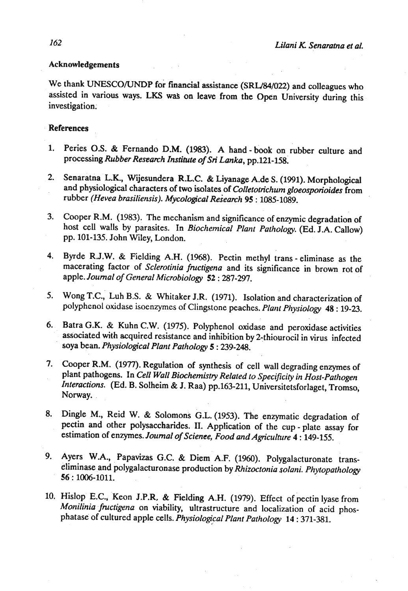#### Acknowledgements

We thank UNESCO/UNDP for financial assistance (SRL/84/022) and colleagues who assisted in various ways. LKS was on leave from the Open University during this investigation.

### References

- 1. Peries O.S. & Fernando D.M. (1983). A hand **book** on rubber culture and processing *Rubber Resemh Instihte of Sn Lanka,* pp.121-158.
- **2.** Senaratna **L.K.,** Wijesundera R.L.C. & Liyanage A.de S. (1991). Morphological and physiological characters of two isolates of *Colletotrichwm gloeosporioides* from rubber *(Hevea brasiliensis). Mycological Research 95* : 1085-1089.
- Cooper **R.M.** (1983). The mechanism and significance of enzymic degradation of 3. host cell walls by parasites. In *Biochemical Plant Pathology.* (Ed. J.A. Callow) pp. 101-135. John Wiley, London.
- Byrde R.J.W. & Fielding A.H. (1968). Pectin methyl trans eliminase as the 4. macerating factor of *Sclerotinia fmctigena* and its significance in brown rot of apple. *Journal of General Microbiology 52* : 287-297.
- Wong T.C., Luh B.S. & Whitaker J.R. (1971). Isolation and characterization of 5. polyphenol oxidase isoenzymes of Clingstone peaches. *Plant Physiology* 48: 19-23.
- Batra G.K. & Kuhn **C.W.** (1975). Polyphenol oxidase and peroxidase activities 6. associated with acquired resistance and inhibition by 2-thiourocil in virus infected soya bean. *Physiological Plant Pathology 5* : 239-248.
- Cooper R.M. (1977). Regulation of synthesis of cell wall degrading enzymes of plant pathogens. In *Cell Wall Biochemistry Related to Specificity in Host-Pathogen Interactions.* (Ed. **B,** Solheim & J. Raa) pp.163-211, Universitetsforlaget, Tromso; Norway.
- Dingle M., Reid W. & Solomons **G.L.** (1953). The enzymatic degradation of pectin and other polysaccharides. **11.** Application of the cup - plate assay for estimation of enzymes. *Journal of Science, Food and Agticulfure 4* : 149-155.
- 9. Ayers W.A., Papavizas G.C. & Diem A.F. (1960). Polygalacturonate transeliminase and polygalacturonase production by *Rhizoctonia solani. Phytopathology*  **56':** 1006-1011.
- 10. Hislop E.C., Keon J.P.R, & Fielding A.H. (1979). Effect of pectin lyase from *Monilinia.fnrctigena* on viability, ultrastructure and localization of acid phosphatase of cultured apple cells. *Physiological Plant Pathology 14* : 371-381.